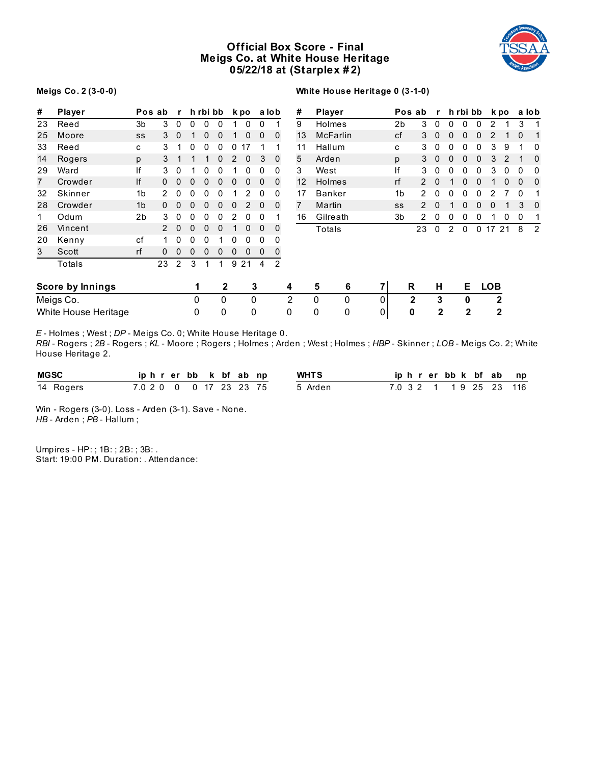# **Official Box Score - Final Meigs Co. at White House Heritage 05/22/18 at (Starplex # 2)**



# **Meigs Co. 2 (3-0-0)**

# **White House Heritage 0 (3-1-0)**

| #              | Player                  | Pos ab         |               | r           |             | h rbi bb |             |   | k po         |   | a lob        | #                 |   | Player          |             |                | Pos ab      | $\mathbf{r}$   |   | h rbi bb    |              |              | k po     |             | a lob          |
|----------------|-------------------------|----------------|---------------|-------------|-------------|----------|-------------|---|--------------|---|--------------|-------------------|---|-----------------|-------------|----------------|-------------|----------------|---|-------------|--------------|--------------|----------|-------------|----------------|
| 23             | Reed                    | 3 <sub>b</sub> | 3             | $\mathbf 0$ | 0           | 0        | 0           | 1 | 0            | 0 |              | 9                 |   | Holmes          |             | 2 <sub>b</sub> | 3           | 0              | 0 | 0           | 0            | 2            |          | 3           | 1              |
| 25             | Moore                   | SS             | 3             | $\mathbf 0$ |             | 0        | 0           | 1 | $\mathbf{0}$ | 0 | $\mathbf{0}$ | 13                |   | <b>McFarlin</b> |             | cf             | 3           | $\mathbf 0$    | 0 | 0           | 0            | 2            |          | $\mathbf 0$ | $\mathbf{1}$   |
| 33             | Reed                    | C              | 3             |             | 0           | 0        | 0           | 0 | 17           |   |              | 11                |   | Hallum          |             | C              | 3           | $\mathbf 0$    | 0 | 0           | 0            | 3            | 9        |             | 0              |
| 14             | Rogers                  | p              | 3             |             |             |          | $\theta$    | 2 | 0            | 3 | $\mathbf 0$  | 5                 |   | Arden           |             | p              | 3           | $\overline{0}$ | 0 | 0           | 0            | 3            | 2        |             | 0              |
| 29             | Ward                    | lf             | 3             | 0           |             |          |             |   | 0            | 0 | 0            | 3                 |   | West            |             | lf             | 3           | 0              | 0 | 0           | 0            | 3            | 0        | 0           | 0              |
| $\overline{7}$ | Crowder                 | If             | $\Omega$      | $\Omega$    | 0           | $\Omega$ | $\Omega$    | 0 | 0            | 0 | $\mathbf 0$  | $12 \overline{ }$ |   | Holmes          |             | rf             | 2           | $\Omega$       |   | 0           | 0            |              | $\Omega$ | 0           | 0              |
| 32             | Skinner                 | 1 <sub>b</sub> | 2.            | 0           | 0           |          |             |   |              | 0 | 0            | 17                |   | <b>Banker</b>   |             | 1b             | 2           |                |   | 0           | 0            |              |          | 0           |                |
| 28             | Crowder                 | 1 <sub>b</sub> | $\Omega$      | 0           |             | 0        | 0           | 0 | 2            | 0 | $\mathbf 0$  | $\overline{7}$    |   | Martin          |             | SS             | 2           | $\Omega$       |   | 0           | 0            | 0            |          | 3           | 0              |
|                | Odum                    | 2 <sub>b</sub> | 3             | 0           |             |          |             |   |              | 0 |              | 16                |   | Gilreath        |             | 3b             | 2           | 0              | 0 | 0           | 0            |              | 0        | 0           |                |
| 26             | Vincent                 |                | $\mathcal{P}$ | 0           | 0           | 0        | 0           |   | 0            | 0 | $\mathbf 0$  |                   |   | Totals          |             |                | 23          | $\Omega$       | 2 | $\Omega$    | $\mathbf{0}$ | 17 21        |          | 8           | $\overline{2}$ |
| 20             | Kenny                   | cf             |               | 0           |             |          |             |   |              | 0 | 0            |                   |   |                 |             |                |             |                |   |             |              |              |          |             |                |
| 3              | Scott                   | rf             | 0             | 0           | 0           | 0        | 0           | 0 | 0            | 0 | 0            |                   |   |                 |             |                |             |                |   |             |              |              |          |             |                |
|                | Totals                  |                | 23            | 2           | 3           |          | 1           | 9 | 21           | 4 | 2            |                   |   |                 |             |                |             |                |   |             |              |              |          |             |                |
|                | <b>Score by Innings</b> |                |               |             | 1           |          | 2           |   |              | 3 |              | 4                 |   | 5<br>$\bf 6$    | 7           |                | R           | н              |   | Е           |              | <b>LOB</b>   |          |             |                |
|                | Meigs Co.               |                |               |             | $\mathbf 0$ |          | $\mathbf 0$ |   | 0            |   |              | 2                 | 0 | 0               | $\mathbf 0$ |                | $\mathbf 2$ | 3              |   | $\mathbf 0$ |              | $\mathbf{2}$ |          |             |                |
|                | White House Heritage    |                |               |             | $\mathbf 0$ |          | 0           |   | 0            |   |              | 0                 | 0 | 0               | $\pmb{0}$   |                | 0           | 2              |   | 2           |              | $\mathbf{2}$ |          |             |                |

*E* - Holmes ; West ; *DP* - Meigs Co. 0; White House Heritage 0.

*RBI* - Rogers ; *2B* - Rogers ; *KL* - Moore ; Rogers ; Holmes ; Arden ; West ; Holmes ; *HBP* - Skinner ; *LOB* - Meigs Co. 2; White House Heritage 2.

| MGSC      | iphrerbb k bf ab np     |  |  |  | <b>WHTS</b> |  |  | iphrerbbk bfabnp        |  |  |
|-----------|-------------------------|--|--|--|-------------|--|--|-------------------------|--|--|
| 14 Rogers | 7.0 2 0 0 0 17 23 23 75 |  |  |  | 5 Arden     |  |  | 7.0 3 2 1 1 9 25 23 116 |  |  |

Win - Rogers (3-0). Loss - Arden (3-1). Save - None. *HB* - Arden ; *PB* - Hallum ;

Umpires - HP: ; 1B: ; 2B: ; 3B: . Start: 19:00 PM. Duration: . Attendance: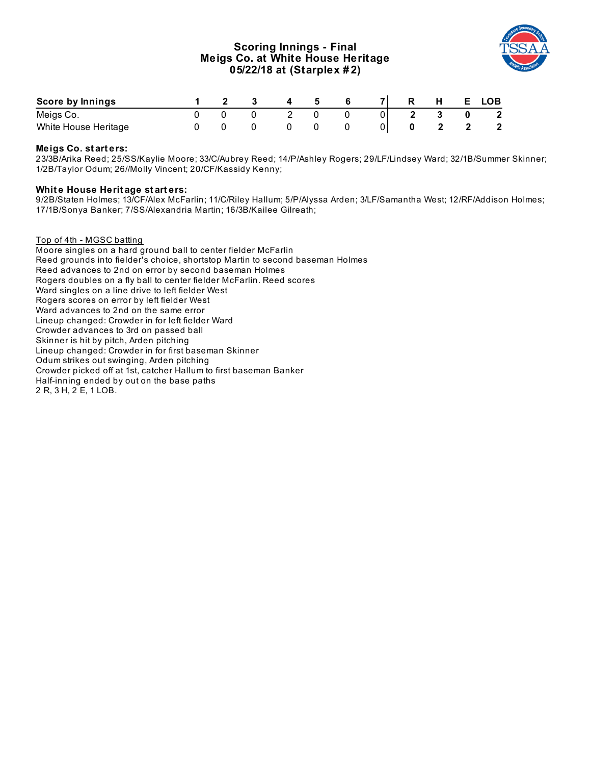# **Scoring Innings - Final Meigs Co. at White House Heritage 05/22/18 at (Starplex # 2)**



| Score by Innings     |  |  |  |  | н | <b>LOB</b>   |
|----------------------|--|--|--|--|---|--------------|
| Meigs Co.            |  |  |  |  |   | $\mathbf{2}$ |
| White House Heritage |  |  |  |  |   |              |

# **Meigs Co. st art ers:**

23/3B/Arika Reed; 25/SS/Kaylie Moore; 33/C/Aubrey Reed; 14/P/Ashley Rogers; 29/LF/Lindsey Ward; 32/1B/Summer Skinner; 1/2B/Taylor Odum; 26//Molly Vincent; 20/CF/Kassidy Kenny;

### **Whit e House Herit age st art ers:**

9/2B/Staten Holmes; 13/CF/Alex McFarlin; 11/C/Riley Hallum; 5/P/Alyssa Arden; 3/LF/Samantha West; 12/RF/Addison Holmes; 17/1B/Sonya Banker; 7/SS/Alexandria Martin; 16/3B/Kailee Gilreath;

### Top of 4th - MGSC batting

Moore singles on a hard ground ball to center fielder McFarlin Reed grounds into fielder's choice, shortstop Martin to second baseman Holmes Reed advances to 2nd on error by second baseman Holmes Rogers doubles on a fly ball to center fielder McFarlin. Reed scores Ward singles on a line drive to left fielder West Rogers scores on error by left fielder West Ward advances to 2nd on the same error Lineup changed: Crowder in for left fielder Ward Crowder advances to 3rd on passed ball Skinner is hit by pitch, Arden pitching Lineup changed: Crowder in for first baseman Skinner Odum strikes out swinging, Arden pitching Crowder picked off at 1st, catcher Hallum to first baseman Banker Half-inning ended by out on the base paths 2 R, 3 H, 2 E, 1 LOB.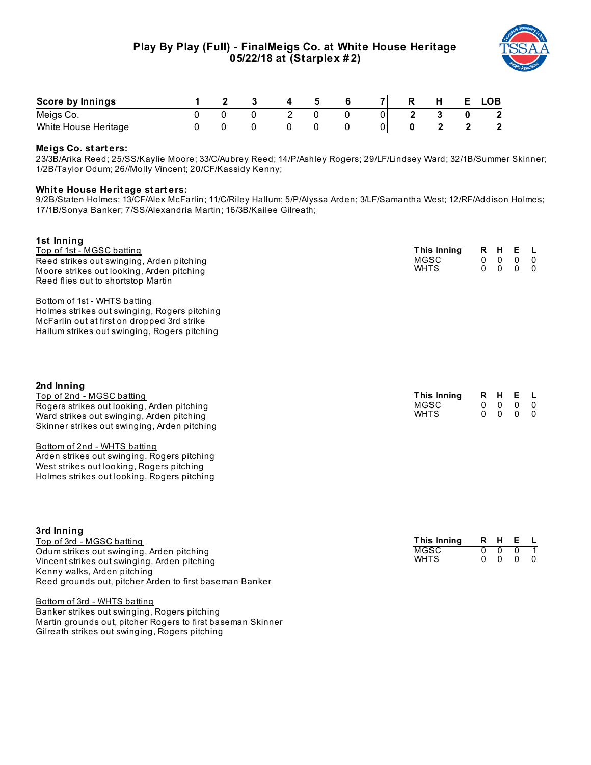

| Score by Innings     |  |  |  | R. | E. | LOB                     |
|----------------------|--|--|--|----|----|-------------------------|
| Meigs Co.            |  |  |  |    |    | $\overline{\mathbf{2}}$ |
| White House Heritage |  |  |  |    |    |                         |

# **Meigs Co. st art ers:**

23/3B/Arika Reed; 25/SS/Kaylie Moore; 33/C/Aubrey Reed; 14/P/Ashley Rogers; 29/LF/Lindsey Ward; 32/1B/Summer Skinner; 1/2B/Taylor Odum; 26//Molly Vincent; 20/CF/Kassidy Kenny;

# **Whit e House Herit age st art ers:**

9/2B/Staten Holmes; 13/CF/Alex McFarlin; 11/C/Riley Hallum; 5/P/Alyssa Arden; 3/LF/Samantha West; 12/RF/Addison Holmes; 17/1B/Sonya Banker; 7/SS/Alexandria Martin; 16/3B/Kailee Gilreath;

| 1st Inning<br>Top of 1st - MGSC batting<br>Reed strikes out swinging, Arden pitching<br>Moore strikes out looking, Arden pitching<br>Reed flies out to shortstop Martin<br>Bottom of 1st - WHTS batting<br>Holmes strikes out swinging, Rogers pitching<br>McFarlin out at first on dropped 3rd strike             | This Inning<br>MGSC<br><b>WHTS</b>        | R<br>$\overline{0}$<br>$\mathbf{0}$ | H<br>$\overline{0}$<br>$\mathbf 0$ | Е<br>$\overline{0}$<br>0       | <b>L</b><br>᠊ᢐ<br>$\Omega$      |
|--------------------------------------------------------------------------------------------------------------------------------------------------------------------------------------------------------------------------------------------------------------------------------------------------------------------|-------------------------------------------|-------------------------------------|------------------------------------|--------------------------------|---------------------------------|
| Hallum strikes out swinging, Rogers pitching<br>2nd Inning<br>Top of 2nd - MGSC batting                                                                                                                                                                                                                            | This Inning                               | R                                   | H.                                 | Е                              | -L.                             |
| Rogers strikes out looking, Arden pitching<br>Ward strikes out swinging, Arden pitching<br>Skinner strikes out swinging, Arden pitching<br>Bottom of 2nd - WHTS batting<br>Arden strikes out swinging, Rogers pitching<br>West strikes out looking, Rogers pitching<br>Holmes strikes out looking, Rogers pitching | <b>MGSC</b><br><b>WHTS</b>                | $\overline{0}$<br>$\Omega$          | $\overline{0}$<br>$\mathbf{0}$     | $\overline{0}$<br>$\mathbf{0}$ | ○<br>$\Omega$                   |
| 3rd Inning<br>Top of 3rd - MGSC batting<br>Odum strikes out swinging, Arden pitching<br>Vincent strikes out swinging, Arden pitching<br>Kenny walks, Arden pitching                                                                                                                                                | This Inning<br><b>MGSC</b><br><b>WHTS</b> | R<br>0<br>0                         | H.<br>0<br>$\mathbf{0}$            | Е<br>$\overline{0}$<br>0       | - L<br>$\mathbf{1}$<br>$\Omega$ |

Reed grounds out, pitcher Arden to first baseman Banker

Bottom of 3rd - WHTS batting

Banker strikes out swinging, Rogers pitching Martin grounds out, pitcher Rogers to first baseman Skinner Gilreath strikes out swinging, Rogers pitching